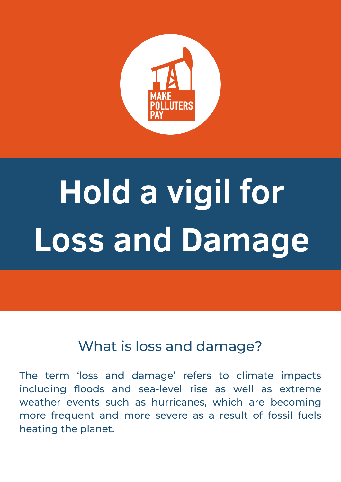

## **Hold a vigil for Loss and Damage**

## What is loss and damage?

The term 'loss and damage' refers to climate impacts including floods and sea-level rise as well as extreme weather events such as hurricanes, which are becoming more frequent and more severe as a result of fossil fuels heating the planet.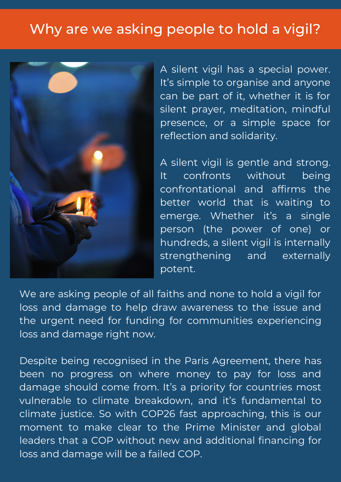## Why are we asking people to hold a vigil?



A silent vigil has a special power. It's simple to organise and anyone can be part of it, whether it is for silent prayer, meditation, mindful presence, or a simple space for reflection and solidarity.

A silent vigil is gentle and strong. It confronts without being confrontational and affirms the better world that is waiting to emerge. Whether it's a single person (the power of one) or hundreds, a silent vigil is internally strengthening and externally potent.

We are asking people of all faiths and none to hold a vigil for loss and damage to help draw awareness to the issue and the urgent need for funding for communities experiencing loss and damage right now.

Despite being recognised in the Paris Agreement, there has been no progress on where money to pay for loss and damage should come from. It's a priority for countries most vulnerable to climate breakdown, and it's fundamental to climate justice. So with COP26 fast approaching, this is our moment to make clear to the Prime Minister and global leaders that a COP without new and additional financing for loss and damage will be a failed COP.